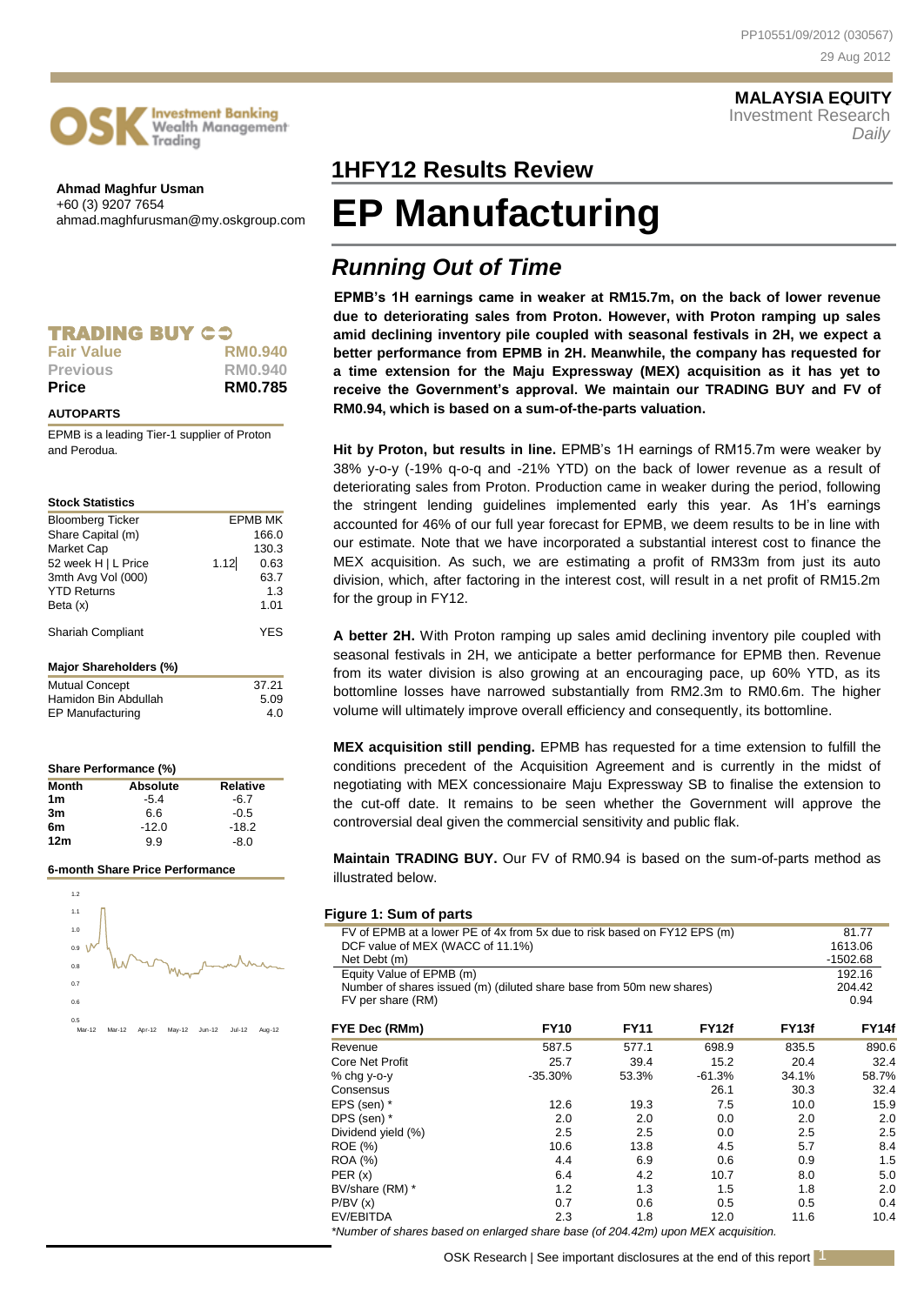

**Ahmad Maghfur Usman** +60 (3) 9207 7654 ahmad.maghfurusman@my.oskgroup.com

Trading

**Investment Banking** Wealth Management

### **TRADING BUY CS Fair Value RM0.940**

| Price           | <b>RM0.785</b> |
|-----------------|----------------|
| <b>Previous</b> | RM0.940        |
| . u. vuv        | 11111.777      |

### **AUTOPARTS**

EPMB is a leading Tier-1 supplier of Proton and Perodua.

### **Stock Statistics**

| <b>Bloomberg Ticker</b>  |      | <b>EPMB MK</b> |
|--------------------------|------|----------------|
| Share Capital (m)        |      | 166.0          |
| <b>Market Cap</b>        |      | 130.3          |
| 52 week H   L Price      | 1.12 | 0.63           |
| 3mth Avg Vol (000)       |      | 63.7           |
| <b>YTD Returns</b>       |      | 1.3            |
| Beta (x)                 |      | 1.01           |
| <b>Shariah Compliant</b> |      | YES            |
| Major Shareholders (%)   |      |                |
| <b>Mutual Concept</b>    |      | 37.21          |
| Hamidon Bin Abdullah     |      | 5.09           |
| EP Manufacturing         |      | 4.0            |

| Share Performance (%) |                 |                 |
|-----------------------|-----------------|-----------------|
| <b>Month</b>          | <b>Absolute</b> | <b>Relative</b> |
| 1 <sub>m</sub>        | $-5.4$          | $-6.7$          |
| 3m                    | 6.6             | $-0.5$          |
| 6m                    | $-12.0$         | $-18.2$         |
| 12 <sub>m</sub>       | 99              | $-8.0$          |

#### **6-month Share Price Performance**



## **1HFY12 Results Review 1HFY12**

# **EP Manufacturing**

### *Running Out of Time*

**EPMB's 1H earnings came in weaker at RM15.7m, on the back of lower revenue due to deteriorating sales from Proton. However, with Proton ramping up sales amid declining inventory pile coupled with seasonal festivals in 2H, we expect a better performance from EPMB in 2H. Meanwhile, the company has requested for a time extension for the Maju Expressway (MEX) acquisition as it has yet to receive the Government's approval. We maintain our TRADING BUY and FV of RM0.94, which is based on a sum-of-the-parts valuation.**

**Hit by Proton, but results in line.** EPMB's 1H earnings of RM15.7m were weaker by 38% y-o-y (-19% q-o-q and -21% YTD) on the back of lower revenue as a result of deteriorating sales from Proton. Production came in weaker during the period, following the stringent lending guidelines implemented early this year. As 1H's earnings accounted for 46% of our full year forecast for EPMB, we deem results to be in line with our estimate. Note that we have incorporated a substantial interest cost to finance the MEX acquisition. As such, we are estimating a profit of RM33m from just its auto division, which, after factoring in the interest cost, will result in a net profit of RM15.2m for the group in FY12.

**A better 2H.** With Proton ramping up sales amid declining inventory pile coupled with seasonal festivals in 2H, we anticipate a better performance for EPMB then. Revenue from its water division is also growing at an encouraging pace, up 60% YTD, as its bottomline losses have narrowed substantially from RM2.3m to RM0.6m. The higher volume will ultimately improve overall efficiency and consequently, its bottomline.

**MEX acquisition still pending.** EPMB has requested for a time extension to fulfill the conditions precedent of the Acquisition Agreement and is currently in the midst of negotiating with MEX concessionaire Maju Expressway SB to finalise the extension to the cut-off date. It remains to be seen whether the Government will approve the controversial deal given the commercial sensitivity and public flak.

**Maintain TRADING BUY.** Our FV of RM0.94 is based on the sum-of-parts method as illustrated below.

### **Figure 1: Sum of parts**

| i iyult i. Uulli VI parts                                                                                    |             |             |              |                   |                  |
|--------------------------------------------------------------------------------------------------------------|-------------|-------------|--------------|-------------------|------------------|
| FV of EPMB at a lower PE of 4x from 5x due to risk based on FY12 EPS (m)<br>DCF value of MEX (WACC of 11.1%) |             |             |              |                   | 81.77<br>1613.06 |
| Net Debt (m)                                                                                                 |             |             |              |                   | $-1502.68$       |
| Equity Value of EPMB (m)                                                                                     |             |             |              |                   | 192.16<br>204.42 |
| Number of shares issued (m) (diluted share base from 50m new shares)                                         |             |             |              |                   |                  |
| FV per share (RM)                                                                                            |             |             |              |                   | 0.94             |
| FYE Dec (RMm)                                                                                                | <b>FY10</b> | <b>FY11</b> | <b>FY12f</b> | FY <sub>13f</sub> | <b>FY14f</b>     |
| Revenue                                                                                                      | 587.5       | 577.1       | 698.9        | 835.5             | 890.6            |
| Core Net Profit                                                                                              | 25.7        | 39.4        | 15.2         | 20.4              | 32.4             |
| $%$ chg y-o-y                                                                                                | $-35.30\%$  | 53.3%       | -61.3%       | 34.1%             | 58.7%            |
| Consensus                                                                                                    |             |             | 26.1         | 30.3              | 32.4             |
| EPS (sen) *                                                                                                  | 12.6        | 19.3        | 7.5          | 10.0              | 15.9             |
| DPS (sen) *                                                                                                  | 2.0         | 2.0         | 0.0          | 2.0               | 2.0              |
| Dividend yield (%)                                                                                           | 2.5         | $2.5\,$     | 0.0          | 2.5               | 2.5              |
| <b>ROE</b> (%)                                                                                               | 10.6        | 13.8        | 4.5          | 5.7               | 8.4              |
| ROA (%)                                                                                                      | 4.4         | 6.9         | 0.6          | 0.9               | 1.5              |
| PER(x)                                                                                                       | 6.4         | 4.2         | 10.7         | 8.0               | 5.0              |
| BV/share (RM) *                                                                                              | 1.2         | 1.3         | 1.5          | 1.8               | 2.0              |
| P/BV(x)                                                                                                      | 0.7         | 0.6         | 0.5          | 0.5               | 0.4              |
| EV/EBITDA                                                                                                    | 2.3         | 1.8         | 12.0         | 11.6              | 10.4             |
| *Number of shares based on enlarged share base (of 204.42m) upon MEX acquisition.                            |             |             |              |                   |                  |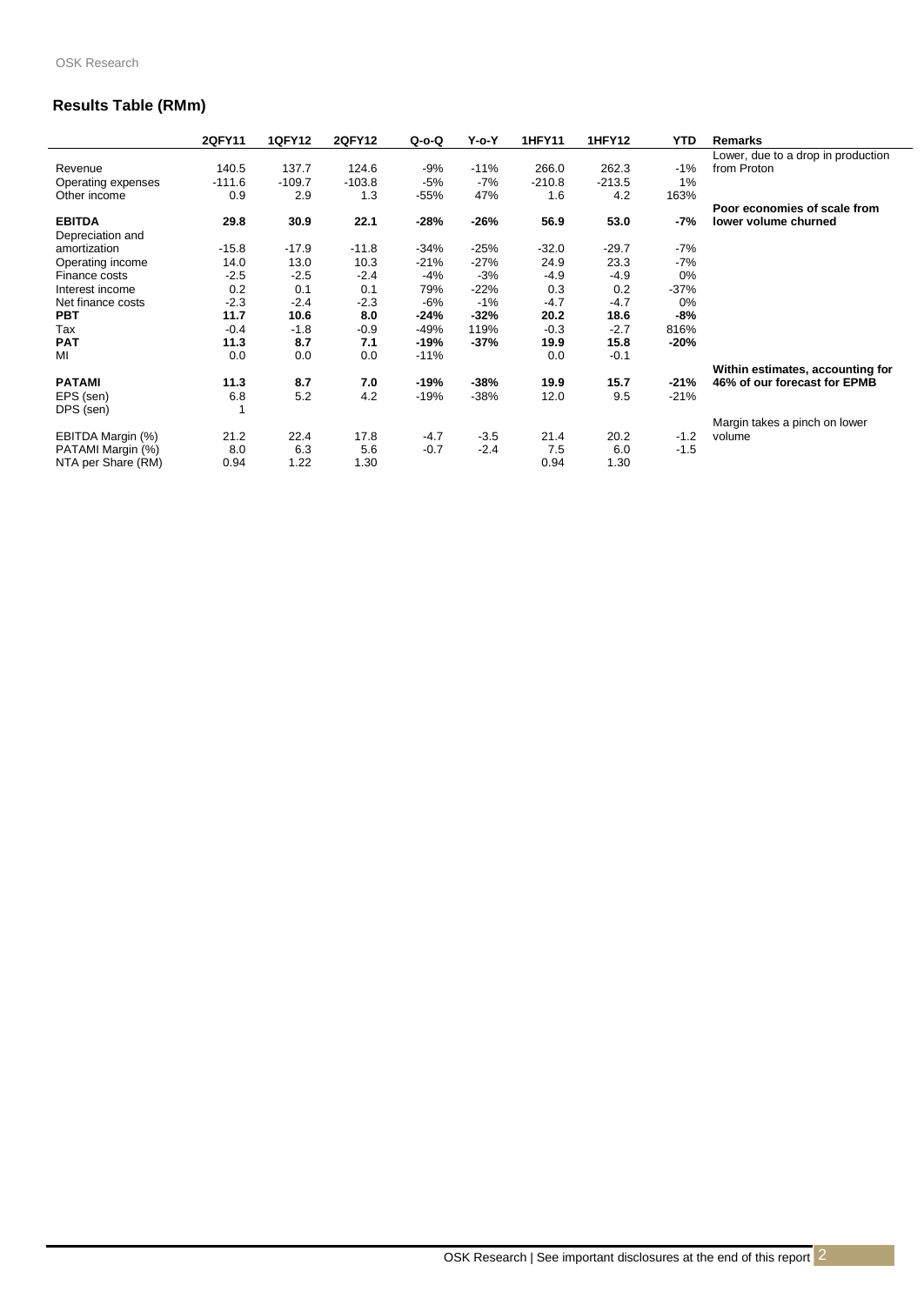### **Results Table (RMm)**

|                    | 2QFY11   | <b>1QFY12</b> | <b>2QFY12</b> | $Q-O-Q$ | $Y$ -o- $Y$ | <b>1HFY11</b> | <b>1HFY12</b> | <b>YTD</b> | Remarks                            |
|--------------------|----------|---------------|---------------|---------|-------------|---------------|---------------|------------|------------------------------------|
|                    |          |               |               |         |             |               |               |            | Lower, due to a drop in production |
| Revenue            | 140.5    | 137.7         | 124.6         | -9%     | $-11%$      | 266.0         | 262.3         | $-1%$      | from Proton                        |
| Operating expenses | $-111.6$ | $-109.7$      | $-103.8$      | $-5%$   | $-7%$       | $-210.8$      | $-213.5$      | 1%         |                                    |
| Other income       | 0.9      | 2.9           | 1.3           | $-55%$  | 47%         | 1.6           | 4.2           | 163%       |                                    |
|                    |          |               |               |         |             |               |               |            | Poor economies of scale from       |
| <b>EBITDA</b>      | 29.8     | 30.9          | 22.1          | $-28%$  | $-26%$      | 56.9          | 53.0          | -7%        | lower volume churned               |
| Depreciation and   |          |               |               |         |             |               |               |            |                                    |
| amortization       | $-15.8$  | $-17.9$       | $-11.8$       | $-34%$  | $-25%$      | $-32.0$       | $-29.7$       | $-7%$      |                                    |
| Operating income   | 14.0     | 13.0          | 10.3          | $-21%$  | $-27%$      | 24.9          | 23.3          | $-7%$      |                                    |
| Finance costs      | $-2.5$   | $-2.5$        | $-2.4$        | $-4%$   | $-3%$       | $-4.9$        | $-4.9$        | 0%         |                                    |
| Interest income    | 0.2      | 0.1           | 0.1           | 79%     | $-22%$      | 0.3           | 0.2           | $-37%$     |                                    |
| Net finance costs  | $-2.3$   | $-2.4$        | $-2.3$        | $-6%$   | $-1%$       | $-4.7$        | $-4.7$        | 0%         |                                    |
| <b>PBT</b>         | 11.7     | 10.6          | 8.0           | $-24%$  | $-32%$      | 20.2          | 18.6          | $-8%$      |                                    |
| Tax                | $-0.4$   | $-1.8$        | $-0.9$        | -49%    | 119%        | $-0.3$        | $-2.7$        | 816%       |                                    |
| <b>PAT</b>         | 11.3     | 8.7           | 7.1           | -19%    | -37%        | 19.9          | 15.8          | -20%       |                                    |
| MI                 | 0.0      | 0.0           | 0.0           | $-11%$  |             | 0.0           | $-0.1$        |            |                                    |
|                    |          |               |               |         |             |               |               |            | Within estimates, accounting for   |
| <b>PATAMI</b>      | 11.3     | 8.7           | 7.0           | -19%    | -38%        | 19.9          | 15.7          | $-21%$     | 46% of our forecast for EPMB       |
| EPS (sen)          | 6.8      | 5.2           | 4.2           | $-19%$  | $-38%$      | 12.0          | 9.5           | $-21%$     |                                    |
| DPS (sen)          |          |               |               |         |             |               |               |            |                                    |
|                    |          |               |               |         |             |               |               |            | Margin takes a pinch on lower      |
| EBITDA Margin (%)  | 21.2     | 22.4          | 17.8          | $-4.7$  | $-3.5$      | 21.4          | 20.2          | $-1.2$     | volume                             |
| PATAMI Margin (%)  | 8.0      | 6.3           | 5.6           | $-0.7$  | $-2.4$      | 7.5           | 6.0           | $-1.5$     |                                    |
| NTA per Share (RM) | 0.94     | 1.22          | 1.30          |         |             | 0.94          | 1.30          |            |                                    |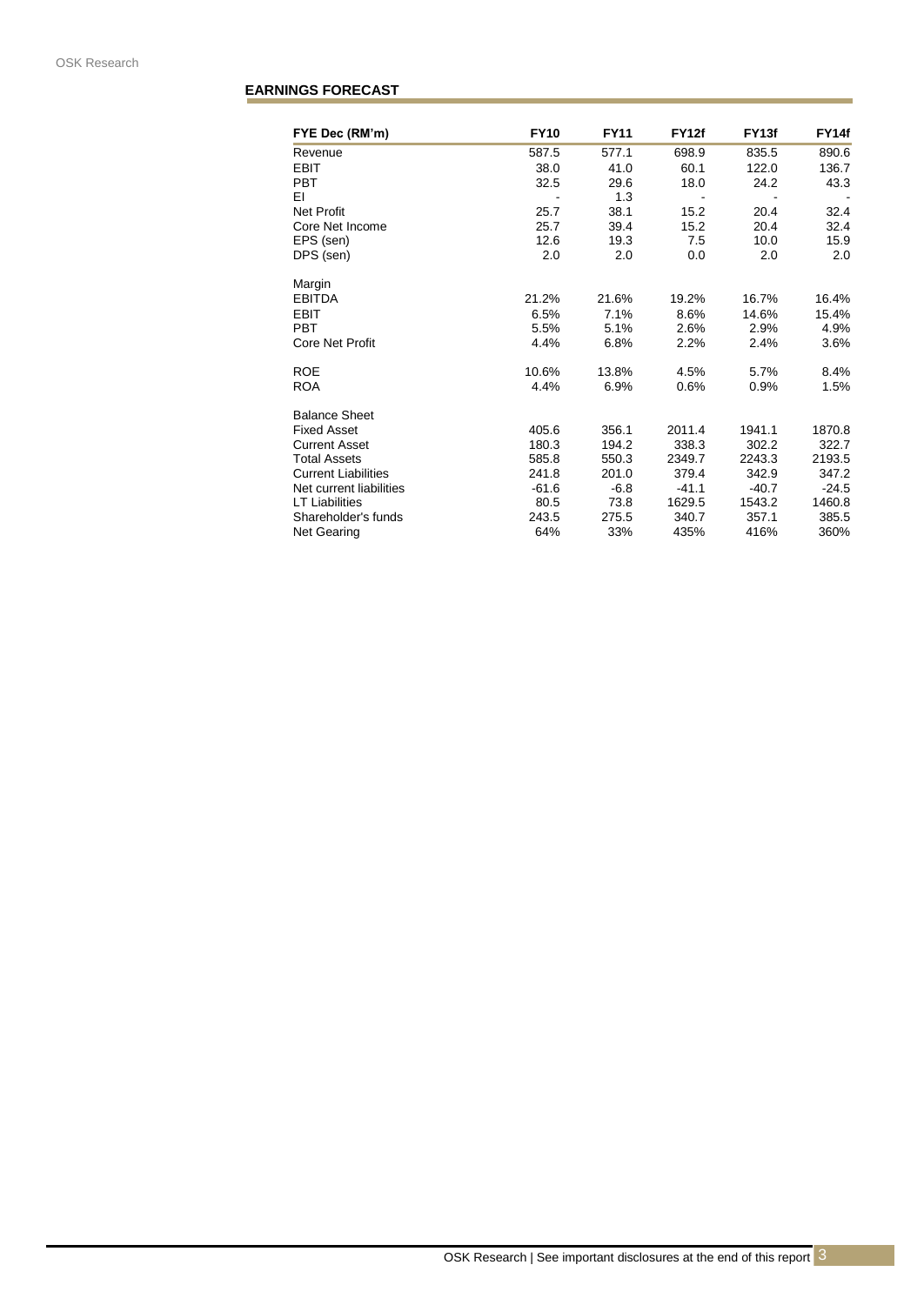### **EARNINGS FORECAST**

| FYE Dec (RM'm)             | <b>FY10</b> | <b>FY11</b> | <b>FY12f</b> | FY <sub>13f</sub> | FY14f   |
|----------------------------|-------------|-------------|--------------|-------------------|---------|
| Revenue                    | 587.5       | 577.1       | 698.9        | 835.5             | 890.6   |
| <b>EBIT</b>                | 38.0        | 41.0        | 60.1         | 122.0             | 136.7   |
| <b>PBT</b>                 | 32.5        | 29.6        | 18.0         | 24.2              | 43.3    |
| ΕI                         |             | 1.3         |              |                   |         |
| <b>Net Profit</b>          | 25.7        | 38.1        | 15.2         | 20.4              | 32.4    |
| Core Net Income            | 25.7        | 39.4        | 15.2         | 20.4              | 32.4    |
| EPS (sen)                  | 12.6        | 19.3        | 7.5          | 10.0              | 15.9    |
| DPS (sen)                  | 2.0         | 2.0         | 0.0          | 2.0               | 2.0     |
| Margin                     |             |             |              |                   |         |
| <b>EBITDA</b>              | 21.2%       | 21.6%       | 19.2%        | 16.7%             | 16.4%   |
| <b>EBIT</b>                | 6.5%        | 7.1%        | 8.6%         | 14.6%             | 15.4%   |
| <b>PBT</b>                 | 5.5%        | 5.1%        | 2.6%         | 2.9%              | 4.9%    |
| <b>Core Net Profit</b>     | 4.4%        | 6.8%        | 2.2%         | 2.4%              | 3.6%    |
| <b>ROE</b>                 | 10.6%       | 13.8%       | 4.5%         | 5.7%              | 8.4%    |
| <b>ROA</b>                 | 4.4%        | 6.9%        | 0.6%         | 0.9%              | 1.5%    |
| <b>Balance Sheet</b>       |             |             |              |                   |         |
| <b>Fixed Asset</b>         | 405.6       | 356.1       | 2011.4       | 1941.1            | 1870.8  |
| <b>Current Asset</b>       | 180.3       | 194.2       | 338.3        | 302.2             | 322.7   |
| <b>Total Assets</b>        | 585.8       | 550.3       | 2349.7       | 2243.3            | 2193.5  |
| <b>Current Liabilities</b> | 241.8       | 201.0       | 379.4        | 342.9             | 347.2   |
| Net current liabilities    | $-61.6$     | $-6.8$      | $-41.1$      | $-40.7$           | $-24.5$ |
| <b>LT Liabilities</b>      | 80.5        | 73.8        | 1629.5       | 1543.2            | 1460.8  |
| Shareholder's funds        | 243.5       | 275.5       | 340.7        | 357.1             | 385.5   |
| <b>Net Gearing</b>         | 64%         | 33%         | 435%         | 416%              | 360%    |